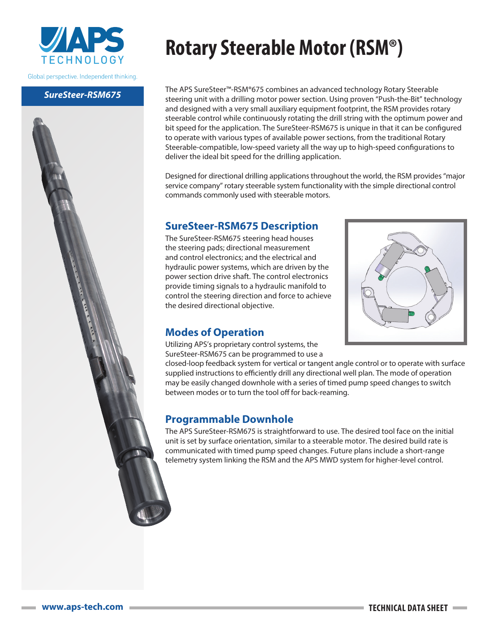

Global perspective. Independent thinking.

#### *SureSteer-RSM675*

# **Rotary Steerable Motor (RSM®)**

The APS SureSteer™-RSM®675 combines an advanced technology Rotary Steerable steering unit with a drilling motor power section. Using proven "Push-the-Bit" technology and designed with a very small auxiliary equipment footprint, the RSM provides rotary steerable control while continuously rotating the drill string with the optimum power and bit speed for the application. The SureSteer-RSM675 is unique in that it can be configured to operate with various types of available power sections, from the traditional Rotary Steerable-compatible, low-speed variety all the way up to high-speed configurations to deliver the ideal bit speed for the drilling application.

Designed for directional drilling applications throughout the world, the RSM provides "major service company" rotary steerable system functionality with the simple directional control commands commonly used with steerable motors.

#### **SureSteer-RSM675 Description**

The SureSteer-RSM675 steering head houses the steering pads; directional measurement and control electronics; and the electrical and hydraulic power systems, which are driven by the power section drive shaft. The control electronics provide timing signals to a hydraulic manifold to control the steering direction and force to achieve the desired directional objective.



#### **Modes of Operation**

Utilizing APS's proprietary control systems, the SureSteer-RSM675 can be programmed to use a

closed-loop feedback system for vertical or tangent angle control or to operate with surface supplied instructions to efficiently drill any directional well plan. The mode of operation may be easily changed downhole with a series of timed pump speed changes to switch between modes or to turn the tool off for back-reaming.

### **Programmable Downhole**

The APS SureSteer-RSM675 is straightforward to use. The desired tool face on the initial unit is set by surface orientation, similar to a steerable motor. The desired build rate is communicated with timed pump speed changes. Future plans include a short-range telemetry system linking the RSM and the APS MWD system for higher-level control.